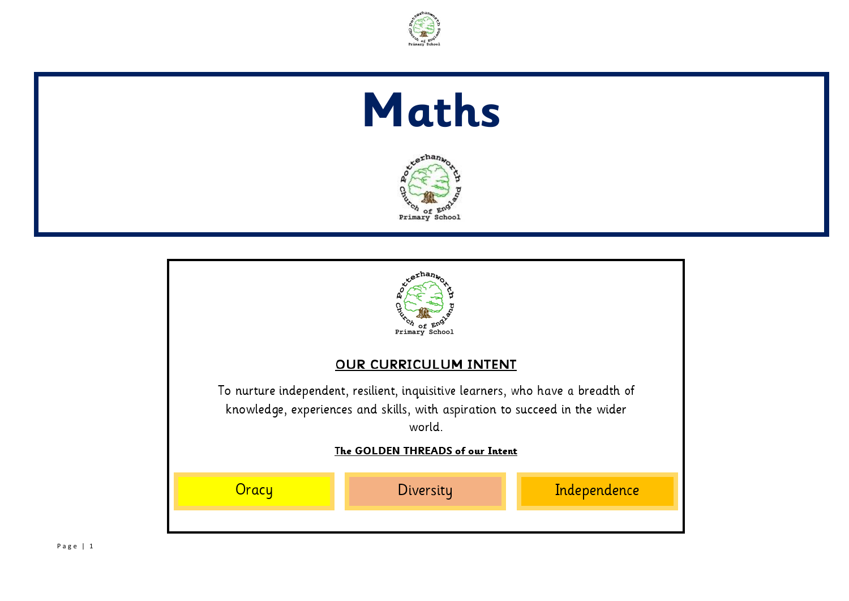

## **Maths**



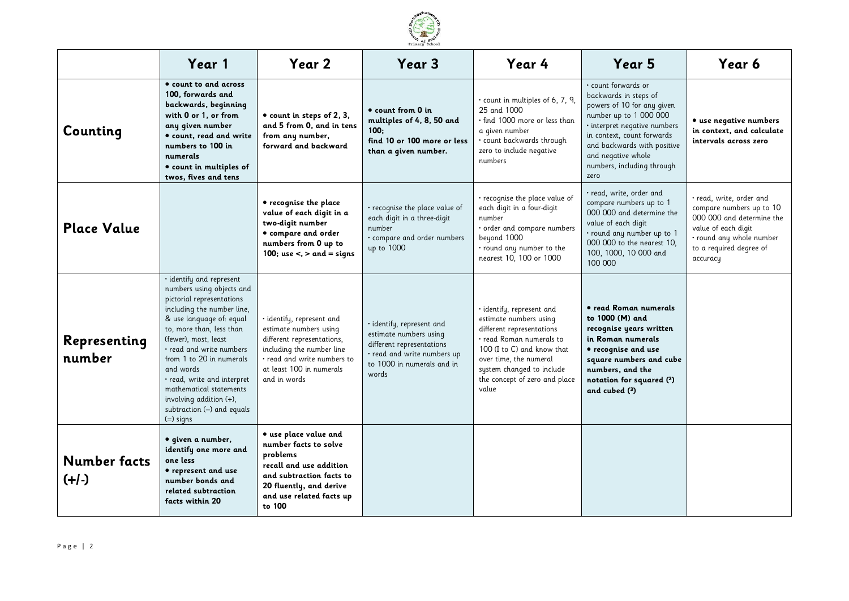

|                                | Year 1                                                                                                                                                                                                                                                                                                                                                                                                            | Year 2                                                                                                                                                                                    | Year <sub>3</sub>                                                                                                                                      | Year 4                                                                                                                                                                                                                                      | Year 5                                                                                                                                                                                                                                                        | Year 6                                                                                                                                                                            |
|--------------------------------|-------------------------------------------------------------------------------------------------------------------------------------------------------------------------------------------------------------------------------------------------------------------------------------------------------------------------------------------------------------------------------------------------------------------|-------------------------------------------------------------------------------------------------------------------------------------------------------------------------------------------|--------------------------------------------------------------------------------------------------------------------------------------------------------|---------------------------------------------------------------------------------------------------------------------------------------------------------------------------------------------------------------------------------------------|---------------------------------------------------------------------------------------------------------------------------------------------------------------------------------------------------------------------------------------------------------------|-----------------------------------------------------------------------------------------------------------------------------------------------------------------------------------|
| Counting                       | • count to and across<br>100, forwards and<br>backwards, beginning<br>with 0 or 1, or from<br>any given number<br><b>•</b> count, read and write<br>numbers to 100 in<br>numerals<br>$\bullet$ count in multiples of<br>twos, fives and tens                                                                                                                                                                      | • count in steps of 2, 3,<br>and 5 from 0, and in tens<br>from any number,<br>forward and backward                                                                                        | • count from 0 in<br>multiples of 4, 8, 50 and<br>100:<br>find 10 or 100 more or less<br>than a given number.                                          | · count in multiples of 6, 7, 9,<br>25 and 1000<br>$\cdot$ find 1000 more or less than<br>a given number<br>· count backwards through<br>zero to include negative<br>numbers                                                                | · count forwards or<br>backwards in steps of<br>powers of 10 for any given<br>number up to 1 000 000<br>· interpret negative numbers<br>in context, count forwards<br>and backwards with positive<br>and negative whole<br>numbers, including through<br>zero | · use negative numbers<br>in context, and calculate<br>intervals across zero                                                                                                      |
| <b>Place Value</b>             |                                                                                                                                                                                                                                                                                                                                                                                                                   | • recognise the place<br>value of each digit in a<br>two digit number<br>• compare and order<br>numbers from 0 up to<br>100; use $\lt$ , $>$ and $=$ signs                                | · recognise the place value of<br>each digit in a three-digit<br>number<br>compare and order numbers<br>up to 1000                                     | • recognise the place value of<br>each digit in a four-digit<br>number<br>· order and compare numbers<br>beyond 1000<br>· round any number to the<br>nearest 10, 100 or 1000                                                                | · read, write, order and<br>compare numbers up to 1<br>000 000 and determine the<br>value of each digit<br>· round any number up to 1<br>000 000 to the nearest 10,<br>100, 1000, 10 000 and<br>100 000                                                       | $\cdot$ read, write, order and<br>compare numbers up to 10<br>000 000 and determine the<br>value of each digit<br>· round any whole number<br>to a required degree of<br>accuracy |
| Representing<br>number         | · identify and represent<br>numbers using objects and<br>pictorial representations<br>including the number line,<br>& use language of: equal<br>to, more than, less than<br>(fewer), most, least<br>• read and write numbers<br>from 1 to 20 in numerals<br>and words<br>$\cdot$ read, write and interpret.<br>mathematical statements<br>involving addition $(+)$ ,<br>subtraction (-) and equals<br>$(=)$ signs | · identify, represent and<br>estimate numbers using<br>different representations,<br>including the number line<br>. read and write numbers to<br>at least 100 in numerals<br>and in words | · identify, represent and<br>estimate numbers using<br>different representations<br>• read and write numbers up<br>to 1000 in numerals and in<br>words | · identify, represent and<br>estimate numbers using<br>different representations<br>· read Roman numerals to<br>100 (I to C) and know that<br>over time, the numeral<br>system changed to include<br>the concept of zero and place<br>value | • read Roman numerals<br>to 1000 (M) and<br>recognise years written<br>in Roman numerals<br>• recognise and use<br>square numbers and cube<br>numbers, and the<br>notation for squared (2)<br>and cubed $(3)$                                                 |                                                                                                                                                                                   |
| <b>Number facts</b><br>$(+/-)$ | · given a number,<br>identify one more and<br>one less<br>• represent and use<br>number bonds and<br>related subtraction<br>facts within 20                                                                                                                                                                                                                                                                       | · use place value and<br>number facts to solve<br>problems<br>recall and use addition<br>and subtraction facts to<br>20 fluently, and derive<br>and use related facts up<br>to 100        |                                                                                                                                                        |                                                                                                                                                                                                                                             |                                                                                                                                                                                                                                                               |                                                                                                                                                                                   |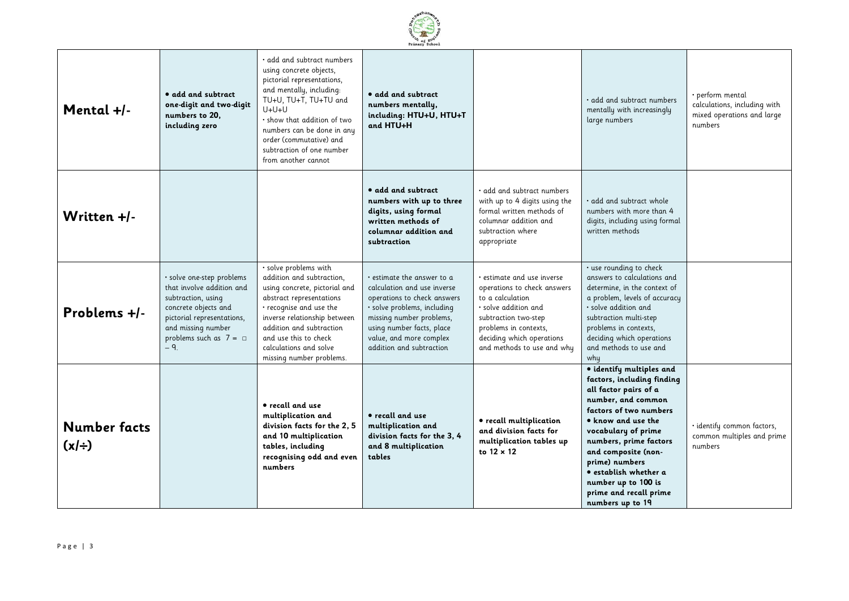

| Mental +/-                 | • add and subtract<br>one-digit and two-digit<br>numbers to 20,<br>including zero                                                                                                                | add and subtract numbers •<br>using concrete objects,<br>pictorial representations,<br>and mentally, including:<br>TU+U, TU+T, TU+TU and<br>U+U+U<br>· show that addition of two<br>numbers can be done in any<br>order (commutative) and<br>subtraction of one number<br>from another cannot | • add and subtract<br>numbers mentally,<br>including: HTU+U, HTU+T<br>and HTU+H                                                                                                                                                               |                                                                                                                                                                                                                         | add and subtract numbers<br>mentally with increasingly<br>large numbers                                                                                                                                                                                                                                                                               | • perform mental<br>calculations, including with<br>mixed operations and large<br>numbers |
|----------------------------|--------------------------------------------------------------------------------------------------------------------------------------------------------------------------------------------------|-----------------------------------------------------------------------------------------------------------------------------------------------------------------------------------------------------------------------------------------------------------------------------------------------|-----------------------------------------------------------------------------------------------------------------------------------------------------------------------------------------------------------------------------------------------|-------------------------------------------------------------------------------------------------------------------------------------------------------------------------------------------------------------------------|-------------------------------------------------------------------------------------------------------------------------------------------------------------------------------------------------------------------------------------------------------------------------------------------------------------------------------------------------------|-------------------------------------------------------------------------------------------|
| Written +/-                |                                                                                                                                                                                                  |                                                                                                                                                                                                                                                                                               | • add and subtract<br>numbers with up to three<br>digits, using formal<br>written methods of<br>columnar addition and<br>subtraction                                                                                                          | . add and subtract numbers<br>with up to 4 digits using the<br>formal written methods of<br>columnar addition and<br>subtraction where<br>appropriate                                                                   | $\cdot$ add and subtract whole<br>numbers with more than 4<br>digits, including using formal<br>written methods                                                                                                                                                                                                                                       |                                                                                           |
| Problems +/-               | · solve one-step problems<br>that involve addition and<br>subtraction, using<br>concrete objects and<br>pictorial representations,<br>and missing number<br>problems such as $7 = \Box$<br>$-9.$ | · solve problems with<br>addition and subtraction,<br>using concrete, pictorial and<br>abstract representations<br>• recognise and use the<br>inverse relationship between<br>addition and subtraction<br>and use this to check<br>calculations and solve<br>missing number problems.         | $\cdot$ estimate the answer to a<br>calculation and use inverse<br>operations to check answers<br>· solve problems, including<br>missing number problems,<br>using number facts, place<br>value, and more complex<br>addition and subtraction | • estimate and use inverse<br>operations to check answers<br>to a calculation<br>$\cdot$ solve addition and<br>subtraction two-step<br>problems in contexts,<br>deciding which operations<br>and methods to use and why | · use rounding to check<br>answers to calculations and<br>determine, in the context of<br>a problem, levels of accuracy<br>solve addition and<br>subtraction multi-step<br>problems in contexts,<br>deciding which operations<br>and methods to use and<br>why                                                                                        |                                                                                           |
| Number facts<br>$(x \div)$ |                                                                                                                                                                                                  | • recall and use<br>multiplication and<br>division facts for the 2, 5<br>and 10 multiplication<br>tables, including<br>recognising odd and even<br>numbers                                                                                                                                    | • recall and use<br>multiplication and<br>division facts for the 3, 4<br>and 8 multiplication<br>tables                                                                                                                                       | • recall multiplication<br>and division facts for<br>multiplication tables up<br>to $12 \times 12$                                                                                                                      | · identify multiples and<br>factors, including finding<br>all factor pairs of a<br>number, and common<br>factors of two numbers<br>$\bullet$ know and use the<br>vocabulary of prime<br>numbers, prime factors<br>and composite (non-<br>prime) numbers<br>· establish whether a<br>number up to 100 is<br>prime and recall prime<br>numbers up to 19 | · identify common factors,<br>common multiples and prime<br>numbers                       |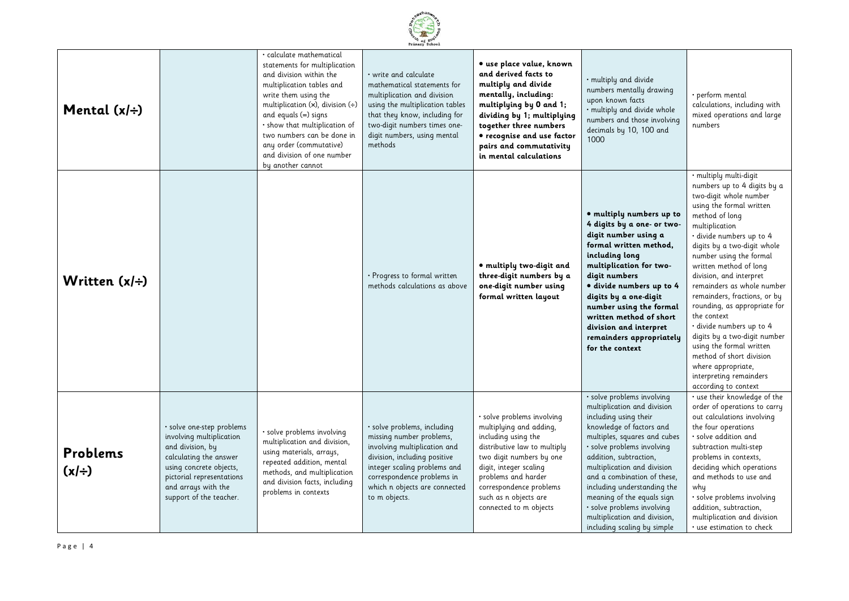|            |                    |                                                                                                                                                                                                               |                                                                                                                                                                                                                                                                                                                                                         | Primary School                                                                                                                                                                                                                          |                                                                                                                                                                                                                                                                         |                                                                                                                                                                                                                                                                                                                                                                                                                                |                                                                                                                                                                                                                                                                                                                                                                                                                                                                                                                                                                                                      |
|------------|--------------------|---------------------------------------------------------------------------------------------------------------------------------------------------------------------------------------------------------------|---------------------------------------------------------------------------------------------------------------------------------------------------------------------------------------------------------------------------------------------------------------------------------------------------------------------------------------------------------|-----------------------------------------------------------------------------------------------------------------------------------------------------------------------------------------------------------------------------------------|-------------------------------------------------------------------------------------------------------------------------------------------------------------------------------------------------------------------------------------------------------------------------|--------------------------------------------------------------------------------------------------------------------------------------------------------------------------------------------------------------------------------------------------------------------------------------------------------------------------------------------------------------------------------------------------------------------------------|------------------------------------------------------------------------------------------------------------------------------------------------------------------------------------------------------------------------------------------------------------------------------------------------------------------------------------------------------------------------------------------------------------------------------------------------------------------------------------------------------------------------------------------------------------------------------------------------------|
|            | Mental $(x/\div)$  |                                                                                                                                                                                                               | · calculate mathematical<br>statements for multiplication<br>and division within the<br>multiplication tables and<br>write them using the<br>multiplication $(x)$ , division $(+)$<br>and equals (=) signs<br>· show that multiplication of<br>two numbers can be done in<br>any order (commutative)<br>and division of one number<br>by another cannot | $\cdot$ write and calculate<br>mathematical statements for<br>multiplication and division<br>using the multiplication tables<br>that they know, including for<br>two-digit numbers times one-<br>digit numbers, using mental<br>methods | • use place value, known<br>and derived facts to<br>multiply and divide<br>mentally, including:<br>multiplying by 0 and 1;<br>dividing by 1; multiplying<br>together three numbers<br>• recognise and use factor<br>pairs and commutativity<br>in mental calculations   | • multiply and divide<br>numbers mentally drawing<br>upon known facts<br>· multiply and divide whole<br>numbers and those involving<br>decimals by 10, 100 and<br>1000                                                                                                                                                                                                                                                         | • perform mental<br>calculations, including with<br>mixed operations and large<br>numbers                                                                                                                                                                                                                                                                                                                                                                                                                                                                                                            |
|            | Written $(x/\div)$ |                                                                                                                                                                                                               |                                                                                                                                                                                                                                                                                                                                                         | · Progress to formal written<br>methods calculations as above                                                                                                                                                                           | · multiply two-digit and<br>three-digit numbers by a<br>one-digit number using<br>formal written layout                                                                                                                                                                 | · multiply numbers up to<br>4 digits by a one- or two-<br>digit number using a<br>formal written method,<br>including long<br>multiplication for two-<br>digit numbers<br>· divide numbers up to 4<br>digits by a one-digit<br>number using the formal<br>written method of short<br>division and interpret<br>remainders appropriately<br>for the context                                                                     | · multiply multi-digit<br>numbers up to 4 digits by a<br>two-digit whole number<br>using the formal written<br>method of long<br>multiplication<br>· divide numbers up to 4<br>digits by a two-digit whole<br>number using the formal<br>written method of long<br>division, and interpret<br>remainders as whole number<br>remainders, fractions, or by<br>rounding, as appropriate for<br>the context<br>· divide numbers up to 4<br>digits by a two-digit number<br>using the formal written<br>method of short division<br>where appropriate,<br>interpreting remainders<br>according to context |
| $(x \div)$ | <b>Problems</b>    | · solve one-step problems<br>involving multiplication<br>and division, by<br>calculating the answer<br>using concrete objects,<br>pictorial representations<br>and arrays with the<br>support of the teacher. | · solve problems involving<br>multiplication and division,<br>using materials, arrays,<br>repeated addition, mental<br>methods, and multiplication<br>and division facts, including<br>problems in contexts                                                                                                                                             | · solve problems, including<br>missing number problems,<br>involving multiplication and<br>division, including positive<br>integer scaling problems and<br>correspondence problems in<br>which n objects are connected<br>to m objects. | · solve problems involving<br>multiplying and adding,<br>including using the<br>distributive law to multiply<br>two digit numbers by one<br>digit, integer scaling<br>problems and harder<br>correspondence problems<br>such as n objects are<br>connected to m objects | · solve problems involving<br>multiplication and division<br>including using their<br>knowledge of factors and<br>multiples, squares and cubes<br>· solve problems involving<br>addition, subtraction,<br>multiplication and division<br>and a combination of these,<br>including understanding the<br>meaning of the equals sign<br>· solve problems involving<br>multiplication and division,<br>including scaling by simple | · use their knowledge of the<br>order of operations to carry<br>out calculations involving<br>the four operations<br>· solve addition and<br>subtraction multi-step<br>problems in contexts,<br>deciding which operations<br>and methods to use and<br>why<br>· solve problems involving<br>addition, subtraction,<br>multiplication and division<br>· use estimation to check                                                                                                                                                                                                                       |

erhan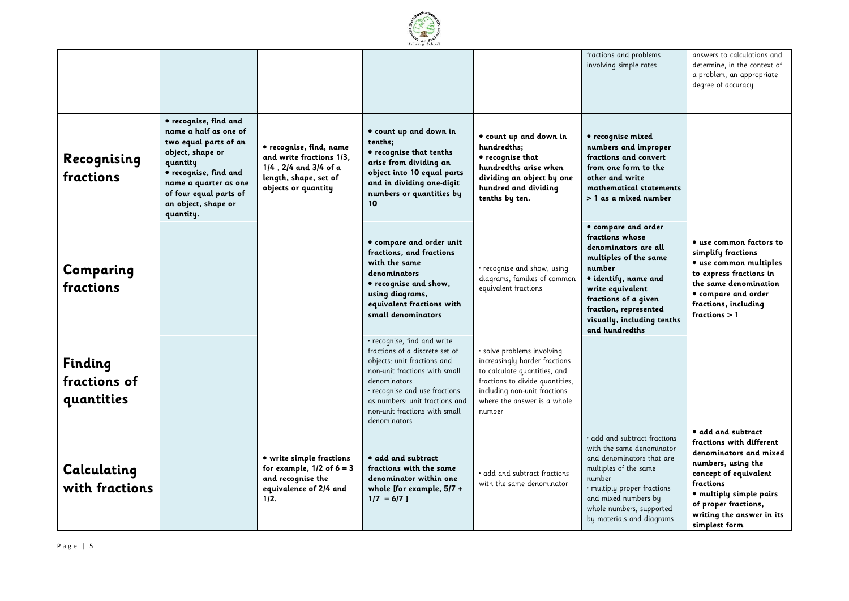

|                                       |                                                                                                                                                                                                                         |                                                                                                                              |                                                                                                                                                                                                                                                                   |                                                                                                                                                                                                       | fractions and problems<br>involving simple rates                                                                                                                                                                                               | answers to calculations and<br>determine, in the context of<br>a problem, an appropriate<br>degree of accuracy                                                                                                                        |
|---------------------------------------|-------------------------------------------------------------------------------------------------------------------------------------------------------------------------------------------------------------------------|------------------------------------------------------------------------------------------------------------------------------|-------------------------------------------------------------------------------------------------------------------------------------------------------------------------------------------------------------------------------------------------------------------|-------------------------------------------------------------------------------------------------------------------------------------------------------------------------------------------------------|------------------------------------------------------------------------------------------------------------------------------------------------------------------------------------------------------------------------------------------------|---------------------------------------------------------------------------------------------------------------------------------------------------------------------------------------------------------------------------------------|
| Recognising<br>fractions              | • recognise, find and<br>name a half as one of<br>two equal parts of an<br>object, shape or<br>quantity<br>· recognise, find and<br>name a quarter as one<br>of four equal parts of<br>an object, shape or<br>quantity. | • recognise, find, name<br>and write fractions 1/3,<br>1/4, 2/4 and 3/4 of a<br>length, shape, set of<br>objects or quantity | · count up and down in<br>tenths;<br>• recognise that tenths<br>arise from dividing an<br>object into 10 equal parts<br>and in dividing one-digit<br>numbers or quantities by<br>10 <sup>°</sup>                                                                  | · count up and down in<br>hundredths;<br>• recognise that<br>hundredths arise when<br>dividing an object by one<br>hundred and dividing<br>tenths by ten.                                             | • recognise mixed<br>numbers and improper<br>fractions and convert<br>from one form to the<br>other and write<br>mathematical statements<br>> 1 as a mixed number                                                                              |                                                                                                                                                                                                                                       |
| Comparing<br>fractions                |                                                                                                                                                                                                                         |                                                                                                                              | · compare and order unit<br>fractions, and fractions<br>with the same<br>denominators<br>• recognise and show,<br>using diagrams,<br>equivalent fractions with<br>small denominators                                                                              | • recognise and show, using<br>diagrams, families of common<br>equivalent fractions                                                                                                                   | · compare and order<br>fractions whose<br>denominators are all<br>multiples of the same<br>number<br>· identify, name and<br>write equivalent<br>fractions of a given<br>fraction, represented<br>visually, including tenths<br>and hundredths | • use common factors to<br>simplify fractions<br>• use common multiples<br>to express fractions in<br>the same denomination<br>• compare and order<br>fractions, including<br>fractions $>1$                                          |
| Finding<br>fractions of<br>quantities |                                                                                                                                                                                                                         |                                                                                                                              | • recognise, find and write<br>fractions of a discrete set of<br>objects: unit fractions and<br>non-unit fractions with small<br>denominators<br>• recognise and use fractions<br>as numbers: unit fractions and<br>non-unit fractions with small<br>denominators | solve problems involving<br>increasingly harder fractions<br>to calculate quantities, and<br>fractions to divide quantities,<br>including non-unit fractions<br>where the answer is a whole<br>number |                                                                                                                                                                                                                                                |                                                                                                                                                                                                                                       |
| Calculating<br>with fractions         |                                                                                                                                                                                                                         | • write simple fractions<br>for example, $1/2$ of $6 = 3$<br>and recognise the<br>equivalence of 2/4 and<br>1/2.             | · add and subtract<br>fractions with the same<br>denominator within one<br>whole [for example, 5/7 +<br>$1/7 = 6/71$                                                                                                                                              | add and subtract fractions<br>with the same denominator                                                                                                                                               | · add and subtract fractions<br>with the same denominator<br>and denominators that are<br>multiples of the same<br>number<br>· multiply proper fractions<br>and mixed numbers by<br>whole numbers, supported<br>by materials and diagrams      | · add and subtract<br>fractions with different<br>denominators and mixed<br>numbers, using the<br>concept of equivalent<br>fractions<br>· multiply simple pairs<br>of proper fractions,<br>writing the answer in its<br>simplest form |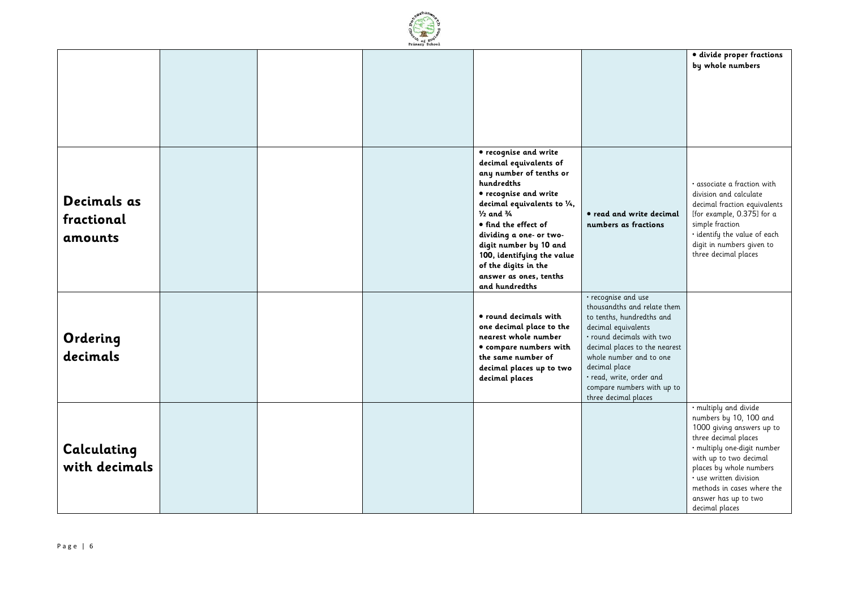

|               |  |                                                         |                                                          | · divide proper fractions<br>by whole numbers        |
|---------------|--|---------------------------------------------------------|----------------------------------------------------------|------------------------------------------------------|
|               |  |                                                         |                                                          |                                                      |
|               |  |                                                         |                                                          |                                                      |
|               |  |                                                         |                                                          |                                                      |
|               |  |                                                         |                                                          |                                                      |
|               |  |                                                         |                                                          |                                                      |
|               |  | • recognise and write                                   |                                                          |                                                      |
|               |  | decimal equivalents of<br>any number of tenths or       |                                                          |                                                      |
|               |  | hundredths                                              |                                                          | $\cdot$ associate a fraction with                    |
| Decimals as   |  | • recognise and write                                   |                                                          | division and calculate                               |
|               |  | decimal equivalents to 1/4,                             |                                                          | decimal fraction equivalents                         |
| fractional    |  | $\frac{1}{2}$ and $\frac{3}{4}$<br>• find the effect of | • read and write decimal<br>numbers as fractions         | [for example, 0.375] for a<br>simple fraction        |
| amounts       |  | dividing a one- or two-                                 |                                                          | • identify the value of each                         |
|               |  | digit number by 10 and                                  |                                                          | digit in numbers given to                            |
|               |  | 100, identifying the value<br>of the digits in the      |                                                          | three decimal places                                 |
|               |  | answer as ones, tenths                                  |                                                          |                                                      |
|               |  | and hundredths                                          |                                                          |                                                      |
|               |  |                                                         | · recognise and use                                      |                                                      |
|               |  | • round decimals with                                   | thousandths and relate them<br>to tenths, hundredths and |                                                      |
|               |  | one decimal place to the                                | decimal equivalents                                      |                                                      |
| Ordering      |  | nearest whole number                                    | · round decimals with two                                |                                                      |
| decimals      |  | • compare numbers with                                  | decimal places to the nearest<br>whole number and to one |                                                      |
|               |  | the same number of<br>decimal places up to two          | decimal place                                            |                                                      |
|               |  | decimal places                                          | · read, write, order and                                 |                                                      |
|               |  |                                                         | compare numbers with up to                               |                                                      |
|               |  |                                                         | three decimal places                                     | · multiply and divide                                |
|               |  |                                                         |                                                          | numbers by 10, 100 and                               |
|               |  |                                                         |                                                          | 1000 giving answers up to                            |
| Calculating   |  |                                                         |                                                          | three decimal places<br>· multiply one-digit number  |
|               |  |                                                         |                                                          | with up to two decimal                               |
| with decimals |  |                                                         |                                                          | places by whole numbers                              |
|               |  |                                                         |                                                          | • use written division<br>methods in cases where the |
|               |  |                                                         |                                                          | answer has up to two                                 |
|               |  |                                                         |                                                          | decimal places                                       |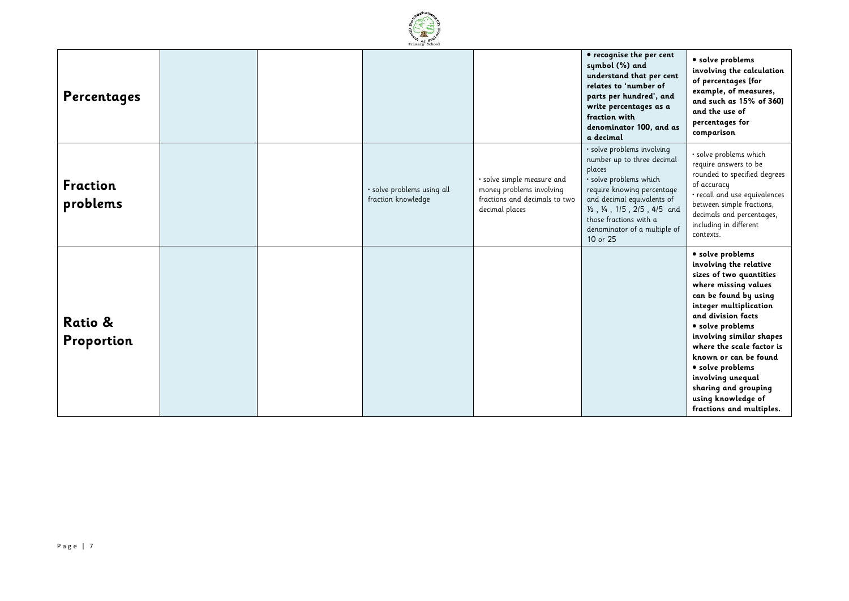

| Percentages                 |  |                                                  |                                                                                                           | • recognise the per cent<br>symbol (%) and<br>understand that per cent<br>relates to 'number of<br>parts per hundred', and<br>write percentages as a<br>fraction with<br>denominator 100, and as<br>a decimal                                                 | · solve problems<br>involving the calculation<br>of percentages [for<br>example, of measures,<br>and such as 15% of 360]<br>and the use of<br>percentages for<br>comparison                                                                                                                                                                                                                     |
|-----------------------------|--|--------------------------------------------------|-----------------------------------------------------------------------------------------------------------|---------------------------------------------------------------------------------------------------------------------------------------------------------------------------------------------------------------------------------------------------------------|-------------------------------------------------------------------------------------------------------------------------------------------------------------------------------------------------------------------------------------------------------------------------------------------------------------------------------------------------------------------------------------------------|
| <b>Fraction</b><br>problems |  | · solve problems using all<br>fraction knowledge | · solve simple measure and<br>money problems involving<br>fractions and decimals to two<br>decimal places | · solve problems involving<br>number up to three decimal<br>places<br>· solve problems which<br>require knowing percentage<br>and decimal equivalents of<br>1/2, 1/4, 1/5, 2/5, 4/5 and<br>those fractions with a<br>denominator of a multiple of<br>10 or 25 | · solve problems which<br>require answers to be<br>rounded to specified degrees<br>of accuracy<br>· recall and use equivalences<br>between simple fractions,<br>decimals and percentages,<br>including in different<br>contexts.                                                                                                                                                                |
| Ratio &<br>Proportion       |  |                                                  |                                                                                                           |                                                                                                                                                                                                                                                               | • solve problems<br>involving the relative<br>sizes of two quantities<br>where missing values<br>can be found by using<br>integer multiplication<br>and division facts<br>· solve problems<br>involving similar shapes<br>where the scale factor is<br>known or can be found<br>• solve problems<br>involving unequal<br>sharing and grouping<br>using knowledge of<br>fractions and multiples. |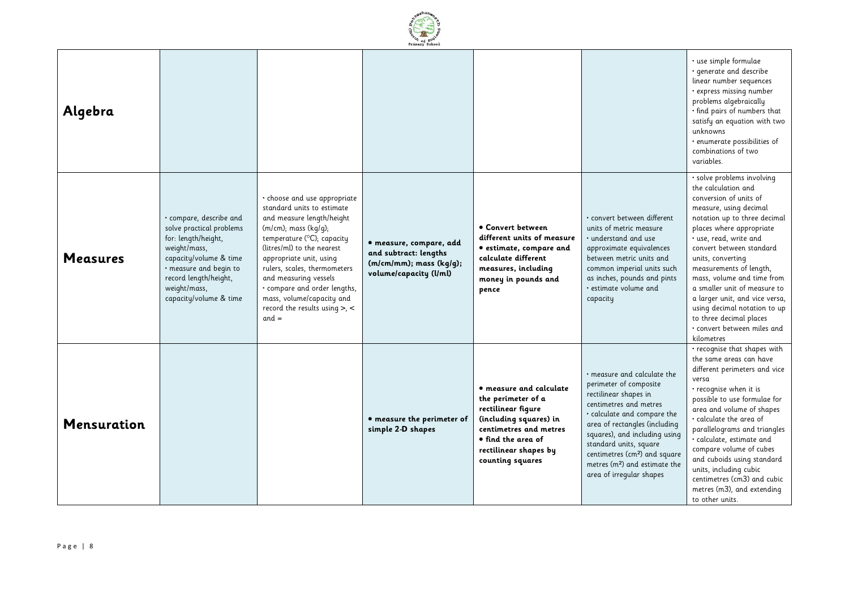

| Algebra            |                                                                                                                                                                                                                   |                                                                                                                                                                                                                                                                                                                                                                                                |                                                                                                             |                                                                                                                                                                                            |                                                                                                                                                                                                                                                                                                                                                                 | · use simple formulae<br>· generate and describe<br>linear number sequences<br>· express missing number<br>problems algebraically<br>· find pairs of numbers that<br>satisfy an equation with two<br>unknowns<br>· enumerate possibilities of<br>combinations of two<br>variables.                                                                                                                                                                                                    |
|--------------------|-------------------------------------------------------------------------------------------------------------------------------------------------------------------------------------------------------------------|------------------------------------------------------------------------------------------------------------------------------------------------------------------------------------------------------------------------------------------------------------------------------------------------------------------------------------------------------------------------------------------------|-------------------------------------------------------------------------------------------------------------|--------------------------------------------------------------------------------------------------------------------------------------------------------------------------------------------|-----------------------------------------------------------------------------------------------------------------------------------------------------------------------------------------------------------------------------------------------------------------------------------------------------------------------------------------------------------------|---------------------------------------------------------------------------------------------------------------------------------------------------------------------------------------------------------------------------------------------------------------------------------------------------------------------------------------------------------------------------------------------------------------------------------------------------------------------------------------|
| <b>Measures</b>    | · compare, describe and<br>solve practical problems<br>for: length/height,<br>weight/mass,<br>capacity/volume & time<br>· measure and begin to<br>record length/height,<br>weight/mass,<br>capacity/volume & time | · choose and use appropriate<br>standard units to estimate<br>and measure length/height<br>$(m/cm)$ ; mass $(kq/q)$ ;<br>temperature ( $^{\circ}$ C); capacity<br>(litres/ml) to the nearest<br>appropriate unit, using<br>rulers, scales, thermometers<br>and measuring vessels<br>· compare and order lengths,<br>mass, volume/capacity and<br>record the results using $> 0$ , <<br>$and =$ | · measure, compare, add<br>and subtract: lengths<br>$(m/cm/mm)$ ; mass $(kg/g)$ ;<br>volume/capacity (l/ml) | • Convert between<br>different units of measure<br>· estimate, compare and<br>calculate different<br>measures, including<br>money in pounds and<br>pence                                   | · convert between different<br>units of metric measure<br>. understand and use<br>approximate equivalences<br>between metric units and<br>common imperial units such<br>as inches, pounds and pints<br>· estimate volume and<br>capacity                                                                                                                        | · solve problems involving<br>the calculation and<br>conversion of units of<br>measure, using decimal<br>notation up to three decimal<br>places where appropriate<br>· use, read, write and<br>convert between standard<br>units, converting<br>measurements of length,<br>mass, volume and time from<br>a smaller unit of measure to<br>a larger unit, and vice versa,<br>using decimal notation to up<br>to three decimal places<br>$\cdot$ convert between miles and<br>kilometres |
| <b>Mensuration</b> |                                                                                                                                                                                                                   |                                                                                                                                                                                                                                                                                                                                                                                                | · measure the perimeter of<br>simple 2-D shapes                                                             | • measure and calculate<br>the perimeter of a<br>rectilinear figure<br>(including squares) in<br>centimetres and metres<br>• find the area of<br>rectilinear shapes by<br>counting squares | · measure and calculate the<br>perimeter of composite<br>rectilinear shapes in<br>centimetres and metres<br>$\cdot$ calculate and compare the<br>area of rectangles (including<br>squares), and including using<br>standard units, square<br>centimetres (cm <sup>2</sup> ) and square<br>metres (m <sup>2</sup> ) and estimate the<br>area of irregular shapes | · recognise that shapes with<br>the same areas can have<br>different perimeters and vice<br>versa<br>· recognise when it is<br>possible to use formulae for<br>area and volume of shapes<br>$\cdot$ calculate the area of<br>parallelograms and triangles<br>· calculate, estimate and<br>compare volume of cubes<br>and cuboids using standard<br>units, including cubic<br>centimetres (cm3) and cubic<br>metres (m3), and extending<br>to other units.                             |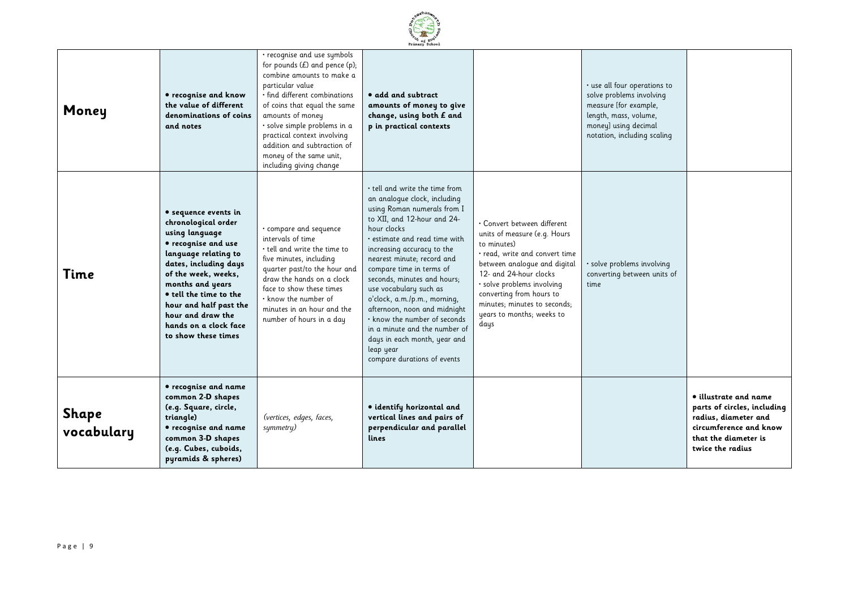|                     |                                                                                                                                                                                                                                                                                                           |                                                                                                                                                                                                                                                                                                                                                             | Primary School                                                                                                                                                                                                                                                                                                                                                                                                                                                                                                                                   |                                                                                                                                                                                                                                                                                                       |                                                                                                                                                                   |                                                                                                                                                    |
|---------------------|-----------------------------------------------------------------------------------------------------------------------------------------------------------------------------------------------------------------------------------------------------------------------------------------------------------|-------------------------------------------------------------------------------------------------------------------------------------------------------------------------------------------------------------------------------------------------------------------------------------------------------------------------------------------------------------|--------------------------------------------------------------------------------------------------------------------------------------------------------------------------------------------------------------------------------------------------------------------------------------------------------------------------------------------------------------------------------------------------------------------------------------------------------------------------------------------------------------------------------------------------|-------------------------------------------------------------------------------------------------------------------------------------------------------------------------------------------------------------------------------------------------------------------------------------------------------|-------------------------------------------------------------------------------------------------------------------------------------------------------------------|----------------------------------------------------------------------------------------------------------------------------------------------------|
| Money               | • recognise and know<br>the value of different<br>denominations of coins<br>and notes                                                                                                                                                                                                                     | · recognise and use symbols<br>for pounds $(E)$ and pence $(p)$ ;<br>combine amounts to make a<br>particular value<br>· find different combinations<br>of coins that equal the same<br>amounts of money<br>· solve simple problems in a<br>practical context involving<br>addition and subtraction of<br>money of the same unit,<br>including giving change | • add and subtract<br>amounts of money to give<br>change, using both £ and<br>p in practical contexts                                                                                                                                                                                                                                                                                                                                                                                                                                            |                                                                                                                                                                                                                                                                                                       | · use all four operations to<br>solve problems involving<br>measure [for example,<br>length, mass, volume,<br>money] using decimal<br>notation, including scaling |                                                                                                                                                    |
| Time                | • sequence events in<br>chronological order<br>using language<br>· recognise and use<br>language relating to<br>dates, including days<br>of the week, weeks,<br>months and years<br>• tell the time to the<br>hour and half past the<br>hour and draw the<br>hands on a clock face<br>to show these times | · compare and sequence<br>intervals of time<br>$\cdot$ tell and write the time to<br>five minutes, including<br>quarter past/to the hour and<br>draw the hands on a clock<br>face to show these times<br>$\cdot$ know the number of<br>minutes in an hour and the<br>number of hours in a day                                                               | $\cdot$ tell and write the time from<br>an analogue clock, including<br>using Roman numerals from I<br>to XII, and 12-hour and 24-<br>hour clocks<br>· estimate and read time with<br>increasing accuracy to the<br>nearest minute; record and<br>compare time in terms of<br>seconds, minutes and hours;<br>use vocabulary such as<br>o'clock, a.m./p.m., morning,<br>afternoon, noon and midnight<br>. know the number of seconds<br>in a minute and the number of<br>days in each month, year and<br>leap year<br>compare durations of events | • Convert between different<br>units of measure (e.g. Hours<br>to minutes)<br>· read, write and convert time<br>between analogue and digital<br>12- and 24-hour clocks<br>· solve problems involving<br>converting from hours to<br>minutes; minutes to seconds;<br>years to months; weeks to<br>days | · solve problems involving<br>converting between units of<br>time                                                                                                 |                                                                                                                                                    |
| Shape<br>vocabulary | • recognise and name<br>common 2-D shapes<br>(e.g. Square, circle,<br>triangle)<br>• recognise and name<br>common 3-D shapes<br>(e.g. Cubes, cuboids,<br>pyramids & spheres)                                                                                                                              | (vertices, edges, faces,<br>symmetry)                                                                                                                                                                                                                                                                                                                       | · identify horizontal and<br>vertical lines and pairs of<br>perpendicular and parallel<br>lines                                                                                                                                                                                                                                                                                                                                                                                                                                                  |                                                                                                                                                                                                                                                                                                       |                                                                                                                                                                   | • illustrate and name<br>parts of circles, including<br>radius, diameter and<br>circumference and know<br>that the diameter is<br>twice the radius |

E Ehanwo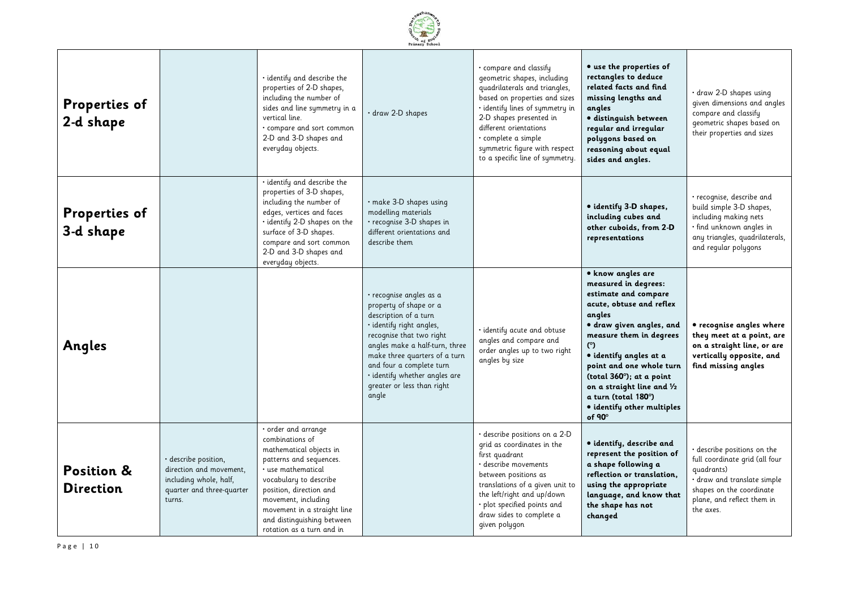

| Properties of<br>2-d shape                |                                                                                                                  | $\cdot$ identify and describe the<br>properties of 2-D shapes,<br>including the number of<br>sides and line symmetry in a<br>vertical line.<br>· compare and sort common<br>2-D and 3-D shapes and<br>everyday objects.                                                                  | · draw 2-D shapes                                                                                                                                                                                                                                                                                         | • compare and classify<br>geometric shapes, including<br>quadrilaterals and triangles,<br>based on properties and sizes<br>· identify lines of symmetry in<br>2-D shapes presented in<br>different orientations<br>• complete a simple<br>symmetric figure with respect<br>to a specific line of symmetry. | • use the properties of<br>rectangles to deduce<br>related facts and find<br>missing lengths and<br>angles<br>· distinguish between<br>regular and irregular<br>polygons based on<br>reasoning about equal<br>sides and angles.                                                                                                                              | · draw 2-D shapes using<br>given dimensions and angles<br>compare and classify<br>geometric shapes based on<br>their properties and sizes                                         |
|-------------------------------------------|------------------------------------------------------------------------------------------------------------------|------------------------------------------------------------------------------------------------------------------------------------------------------------------------------------------------------------------------------------------------------------------------------------------|-----------------------------------------------------------------------------------------------------------------------------------------------------------------------------------------------------------------------------------------------------------------------------------------------------------|------------------------------------------------------------------------------------------------------------------------------------------------------------------------------------------------------------------------------------------------------------------------------------------------------------|--------------------------------------------------------------------------------------------------------------------------------------------------------------------------------------------------------------------------------------------------------------------------------------------------------------------------------------------------------------|-----------------------------------------------------------------------------------------------------------------------------------------------------------------------------------|
| Properties of<br>3-d shape                |                                                                                                                  | · identify and describe the<br>properties of 3-D shapes,<br>including the number of<br>edges, vertices and faces<br>· identify 2-D shapes on the<br>surface of 3-D shapes.<br>compare and sort common<br>2-D and 3-D shapes and<br>everyday objects.                                     | · make 3-D shapes using<br>modelling materials<br>· recognise 3-D shapes in<br>different orientations and<br>describe them                                                                                                                                                                                |                                                                                                                                                                                                                                                                                                            | · identify 3-D shapes,<br>including cubes and<br>other cuboids, from 2-D<br>representations                                                                                                                                                                                                                                                                  | · recognise, describe and<br>build simple 3-D shapes,<br>including making nets<br>· find unknown angles in<br>any triangles, quadrilaterals,<br>and regular polygons              |
| Angles                                    |                                                                                                                  |                                                                                                                                                                                                                                                                                          | · recognise angles as a<br>property of shape or a<br>description of a turn<br>· identify right angles,<br>recognise that two right<br>angles make a half-turn, three<br>make three quarters of a turn<br>and four a complete turn<br>· identify whether angles are<br>greater or less than right<br>angle | · identify acute and obtuse<br>angles and compare and<br>order angles up to two right<br>angles by size                                                                                                                                                                                                    | • know angles are<br>measured in degrees:<br>estimate and compare<br>acute, obtuse and reflex<br>angles<br>· draw given angles, and<br>measure them in degrees<br>(°)<br>• identify angles at a<br>point and one whole turn<br>(total $360^\circ$ ); at a point<br>on a straight line and 1/2<br>a turn (total 180°)<br>• identify other multiples<br>of 90° | • recognise angles where<br>they meet at a point, are<br>on a straight line, or are<br>vertically opposite, and<br>find missing angles                                            |
| <b>Position &amp;</b><br><b>Direction</b> | · describe position,<br>direction and movement,<br>including whole, half,<br>quarter and three-quarter<br>turns. | · order and arrange<br>combinations of<br>mathematical objects in<br>patterns and sequences.<br>· use mathematical<br>vocabulary to describe<br>position, direction and<br>movement, including<br>movement in a straight line<br>and distinguishing between<br>rotation as a turn and in |                                                                                                                                                                                                                                                                                                           | · describe positions on a 2-D<br>grid as coordinates in the<br>first quadrant<br>· describe movements<br>between positions as<br>translations of a given unit to<br>the left/right and up/down<br>· plot specified points and<br>draw sides to complete a<br>given polygon                                 | · identify, describe and<br>represent the position of<br>a shape following a<br>reflection or translation,<br>using the appropriate<br>language, and know that<br>the shape has not<br>changed                                                                                                                                                               | · describe positions on the<br>full coordinate grid (all four<br>quadrants)<br>· draw and translate simple<br>shapes on the coordinate<br>plane, and reflect them in<br>the axes. |